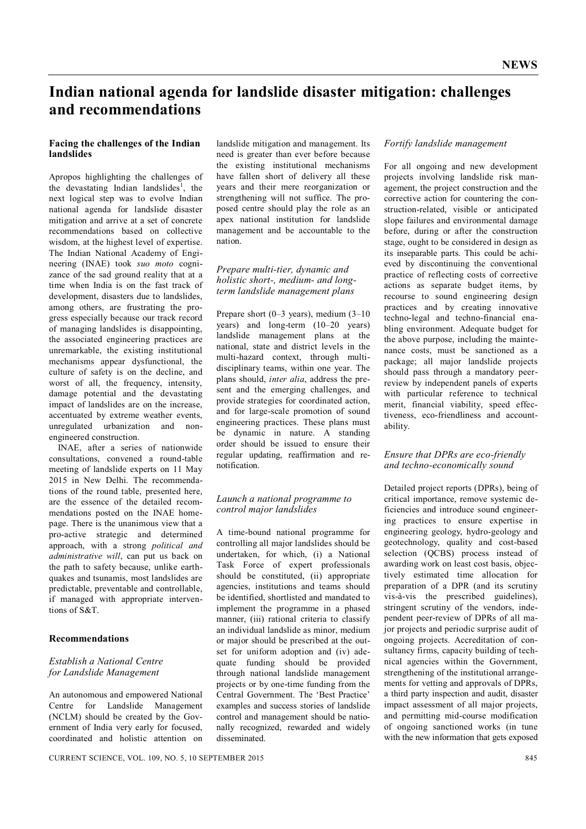# **Indian national agenda for landslide disaster mitigation: challenges and recommendations**

#### **Facing the challenges of the Indian landslides**

Apropos highlighting the challenges of the devastating Indian landslides<sup>1</sup>, the next logical step was to evolve Indian national agenda for landslide disaster mitigation and arrive at a set of concrete recommendations based on collective wisdom, at the highest level of expertise. The Indian National Academy of Engineering (INAE) took *suo moto* cognizance of the sad ground reality that at a time when India is on the fast track of development, disasters due to landslides, among others, are frustrating the progress especially because our track record of managing landslides is disappointing, the associated engineering practices are unremarkable, the existing institutional mechanisms appear dysfunctional, the culture of safety is on the decline, and worst of all, the frequency, intensity, damage potential and the devastating impact of landslides are on the increase, accentuated by extreme weather events, unregulated urbanization and nonengineered construction.

INAE, after a series of nationwide consultations, convened a round-table meeting of landslide experts on 11 May 2015 in New Delhi. The recommendations of the round table, presented here, are the essence of the detailed recommendations posted on the INAE homepage. There is the unanimous view that a pro-active strategic and determined approach, with a strong *political and administrative will*, can put us back on the path to safety because, unlike earthquakes and tsunamis, most landslides are predictable, preventable and controllable, if managed with appropriate interventions of S&T.

#### **Recommendations**

## *Establish a National Centre for Landslide Management*

An autonomous and empowered National Centre for Landslide Management (NCLM) should be created by the Government of India very early for focused, coordinated and holistic attention on

landslide mitigation and management. Its need is greater than ever before because the existing institutional mechanisms have fallen short of delivery all these years and their mere reorganization or strengthening will not suffice. The proposed centre should play the role as an apex national institution for landslide management and be accountable to the nation.

#### *Prepare multi-tier, dynamic and holistic short-, medium- and longterm landslide management plans*

Prepare short (0–3 years), medium (3–10 years) and long-term (10–20 years) landslide management plans at the national, state and district levels in the multi-hazard context, through multidisciplinary teams, within one year. The plans should, *inter alia*, address the present and the emerging challenges, and provide strategies for coordinated action, and for large-scale promotion of sound engineering practices. These plans must be dynamic in nature. A standing order should be issued to ensure their regular updating, reaffirmation and renotification.

## *Launch a national programme to control major landslides*

A time-bound national programme for controlling all major landslides should be undertaken, for which, (i) a National Task Force of expert professionals should be constituted, (ii) appropriate agencies, institutions and teams should be identified, shortlisted and mandated to implement the programme in a phased manner, (iii) rational criteria to classify an individual landslide as minor, medium or major should be prescribed at the outset for uniform adoption and (iv) adequate funding should be provided through national landslide management projects or by one-time funding from the Central Government. The 'Best Practice' examples and success stories of landslide control and management should be nationally recognized, rewarded and widely disseminated.

## *Fortify landslide management*

For all ongoing and new development projects involving landslide risk management, the project construction and the corrective action for countering the construction-related, visible or anticipated slope failures and environmental damage before, during or after the construction stage, ought to be considered in design as its inseparable parts. This could be achieved by discontinuing the conventional practice of reflecting costs of corrective actions as separate budget items, by recourse to sound engineering design practices and by creating innovative techno-legal and techno-financial enabling environment. Adequate budget for the above purpose, including the maintenance costs, must be sanctioned as a package; all major landslide projects should pass through a mandatory peerreview by independent panels of experts with particular reference to technical merit, financial viability, speed effectiveness, eco-friendliness and accountability.

#### *Ensure that DPRs are eco-friendly and techno-economically sound*

Detailed project reports (DPRs), being of critical importance, remove systemic deficiencies and introduce sound engineering practices to ensure expertise in engineering geology, hydro-geology and geotechnology, quality and cost-based selection (QCBS) process instead of awarding work on least cost basis, objectively estimated time allocation for preparation of a DPR (and its scrutiny vis-à-vis the prescribed guidelines), stringent scrutiny of the vendors, independent peer-review of DPRs of all major projects and periodic surprise audit of ongoing projects. Accreditation of consultancy firms, capacity building of technical agencies within the Government, strengthening of the institutional arrangements for vetting and approvals of DPRs, a third party inspection and audit, disaster impact assessment of all major projects, and permitting mid-course modification of ongoing sanctioned works (in tune with the new information that gets exposed